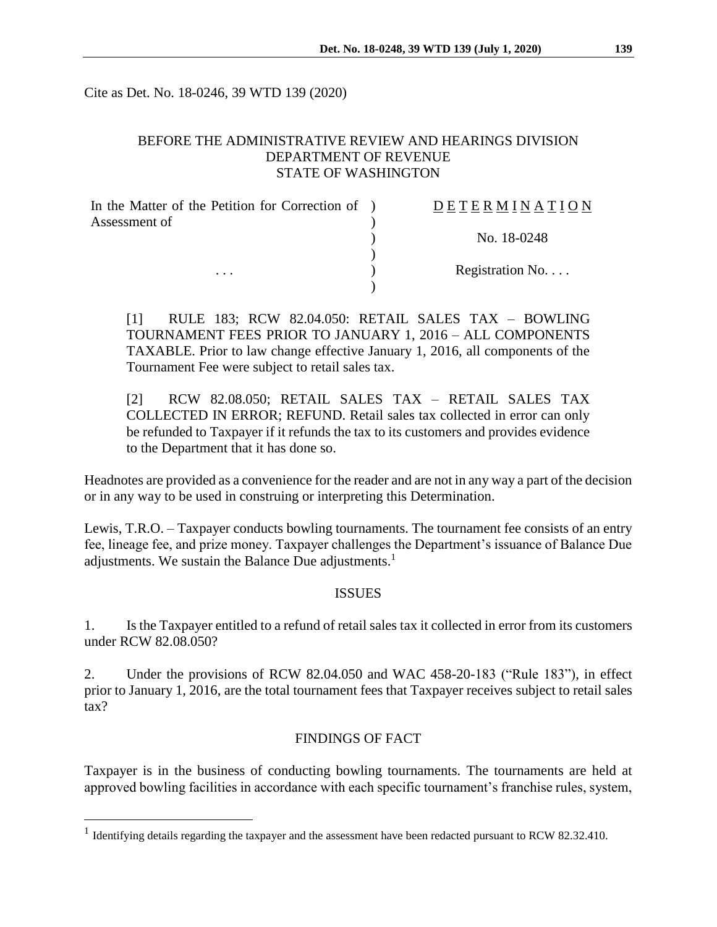Cite as Det. No. 18-0246, 39 WTD 139 (2020)

## BEFORE THE ADMINISTRATIVE REVIEW AND HEARINGS DIVISION DEPARTMENT OF REVENUE STATE OF WASHINGTON

| In the Matter of the Petition for Correction of ) | DETERMINATION            |
|---------------------------------------------------|--------------------------|
| Assessment of<br>$\cdots$                         |                          |
|                                                   | No. 18-0248              |
|                                                   |                          |
|                                                   | Registration No. $\dots$ |
|                                                   |                          |

[1] RULE 183; RCW 82.04.050: RETAIL SALES TAX – BOWLING TOURNAMENT FEES PRIOR TO JANUARY 1, 2016 – ALL COMPONENTS TAXABLE. Prior to law change effective January 1, 2016, all components of the Tournament Fee were subject to retail sales tax.

[2] RCW 82.08.050; RETAIL SALES TAX – RETAIL SALES TAX COLLECTED IN ERROR; REFUND. Retail sales tax collected in error can only be refunded to Taxpayer if it refunds the tax to its customers and provides evidence to the Department that it has done so.

Headnotes are provided as a convenience for the reader and are not in any way a part of the decision or in any way to be used in construing or interpreting this Determination.

Lewis, T.R.O. – Taxpayer conducts bowling tournaments. The tournament fee consists of an entry fee, lineage fee, and prize money. Taxpayer challenges the Department's issuance of Balance Due adjustments. We sustain the Balance Due adjustments.<sup>1</sup>

#### ISSUES

1. Is the Taxpayer entitled to a refund of retail sales tax it collected in error from its customers under RCW 82.08.050?

2. Under the provisions of RCW 82.04.050 and WAC 458-20-183 ("Rule 183"), in effect prior to January 1, 2016, are the total tournament fees that Taxpayer receives subject to retail sales tax?

### FINDINGS OF FACT

Taxpayer is in the business of conducting bowling tournaments. The tournaments are held at approved bowling facilities in accordance with each specific tournament's franchise rules, system,

 $\overline{a}$ 

<sup>&</sup>lt;sup>1</sup> Identifying details regarding the taxpayer and the assessment have been redacted pursuant to RCW 82.32.410.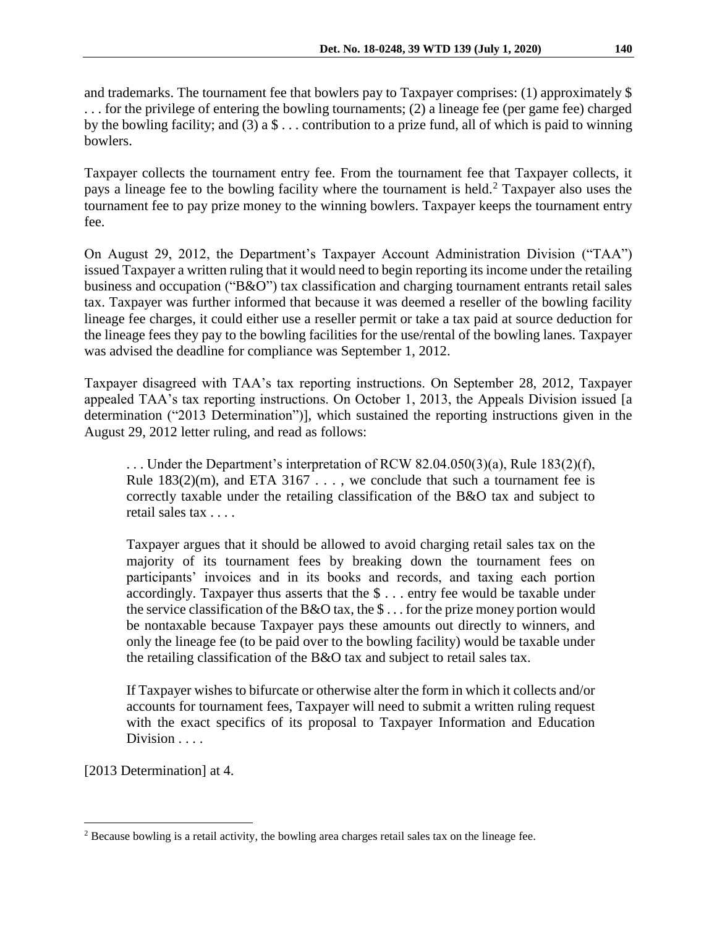and trademarks. The tournament fee that bowlers pay to Taxpayer comprises: (1) approximately \$ . . . for the privilege of entering the bowling tournaments; (2) a lineage fee (per game fee) charged by the bowling facility; and (3) a  $\$\ldots$  contribution to a prize fund, all of which is paid to winning bowlers.

Taxpayer collects the tournament entry fee. From the tournament fee that Taxpayer collects, it pays a lineage fee to the bowling facility where the tournament is held.<sup>2</sup> Taxpayer also uses the tournament fee to pay prize money to the winning bowlers. Taxpayer keeps the tournament entry fee.

On August 29, 2012, the Department's Taxpayer Account Administration Division ("TAA") issued Taxpayer a written ruling that it would need to begin reporting its income under the retailing business and occupation ("B&O") tax classification and charging tournament entrants retail sales tax. Taxpayer was further informed that because it was deemed a reseller of the bowling facility lineage fee charges, it could either use a reseller permit or take a tax paid at source deduction for the lineage fees they pay to the bowling facilities for the use/rental of the bowling lanes. Taxpayer was advised the deadline for compliance was September 1, 2012.

Taxpayer disagreed with TAA's tax reporting instructions. On September 28, 2012, Taxpayer appealed TAA's tax reporting instructions. On October 1, 2013, the Appeals Division issued [a determination ("2013 Determination")], which sustained the reporting instructions given in the August 29, 2012 letter ruling, and read as follows:

... Under the Department's interpretation of RCW  $82.04.050(3)(a)$ , Rule  $183(2)(f)$ , Rule  $183(2)(m)$ , and ETA  $3167...$ , we conclude that such a tournament fee is correctly taxable under the retailing classification of the B&O tax and subject to retail sales tax . . . .

Taxpayer argues that it should be allowed to avoid charging retail sales tax on the majority of its tournament fees by breaking down the tournament fees on participants' invoices and in its books and records, and taxing each portion accordingly. Taxpayer thus asserts that the \$ . . . entry fee would be taxable under the service classification of the B&O tax, the \$ . . . for the prize money portion would be nontaxable because Taxpayer pays these amounts out directly to winners, and only the lineage fee (to be paid over to the bowling facility) would be taxable under the retailing classification of the B&O tax and subject to retail sales tax.

If Taxpayer wishes to bifurcate or otherwise alter the form in which it collects and/or accounts for tournament fees, Taxpayer will need to submit a written ruling request with the exact specifics of its proposal to Taxpayer Information and Education Division . . . .

[2013 Determination] at 4.

 $\overline{a}$ <sup>2</sup> Because bowling is a retail activity, the bowling area charges retail sales tax on the lineage fee.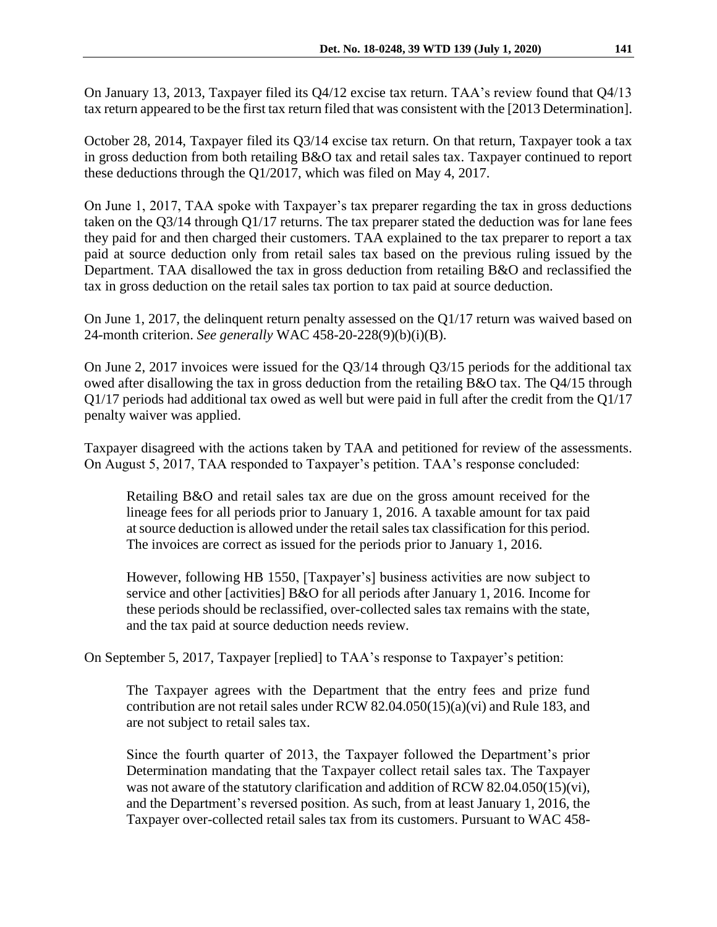On January 13, 2013, Taxpayer filed its Q4/12 excise tax return. TAA's review found that Q4/13 tax return appeared to be the first tax return filed that was consistent with the [2013 Determination].

October 28, 2014, Taxpayer filed its Q3/14 excise tax return. On that return, Taxpayer took a tax in gross deduction from both retailing B&O tax and retail sales tax. Taxpayer continued to report these deductions through the Q1/2017, which was filed on May 4, 2017.

On June 1, 2017, TAA spoke with Taxpayer's tax preparer regarding the tax in gross deductions taken on the Q3/14 through Q1/17 returns. The tax preparer stated the deduction was for lane fees they paid for and then charged their customers. TAA explained to the tax preparer to report a tax paid at source deduction only from retail sales tax based on the previous ruling issued by the Department. TAA disallowed the tax in gross deduction from retailing B&O and reclassified the tax in gross deduction on the retail sales tax portion to tax paid at source deduction.

On June 1, 2017, the delinquent return penalty assessed on the Q1/17 return was waived based on 24-month criterion. *See generally* WAC 458-20-228(9)(b)(i)(B).

On June 2, 2017 invoices were issued for the Q3/14 through Q3/15 periods for the additional tax owed after disallowing the tax in gross deduction from the retailing B&O tax. The Q4/15 through Q1/17 periods had additional tax owed as well but were paid in full after the credit from the Q1/17 penalty waiver was applied.

Taxpayer disagreed with the actions taken by TAA and petitioned for review of the assessments. On August 5, 2017, TAA responded to Taxpayer's petition. TAA's response concluded:

Retailing B&O and retail sales tax are due on the gross amount received for the lineage fees for all periods prior to January 1, 2016. A taxable amount for tax paid at source deduction is allowed under the retail sales tax classification for this period. The invoices are correct as issued for the periods prior to January 1, 2016.

However, following HB 1550, [Taxpayer's] business activities are now subject to service and other [activities] B&O for all periods after January 1, 2016. Income for these periods should be reclassified, over-collected sales tax remains with the state, and the tax paid at source deduction needs review.

On September 5, 2017, Taxpayer [replied] to TAA's response to Taxpayer's petition:

The Taxpayer agrees with the Department that the entry fees and prize fund contribution are not retail sales under RCW 82.04.050(15)(a)(vi) and Rule 183, and are not subject to retail sales tax.

Since the fourth quarter of 2013, the Taxpayer followed the Department's prior Determination mandating that the Taxpayer collect retail sales tax. The Taxpayer was not aware of the statutory clarification and addition of RCW 82.04.050(15)(vi), and the Department's reversed position. As such, from at least January 1, 2016, the Taxpayer over-collected retail sales tax from its customers. Pursuant to WAC 458-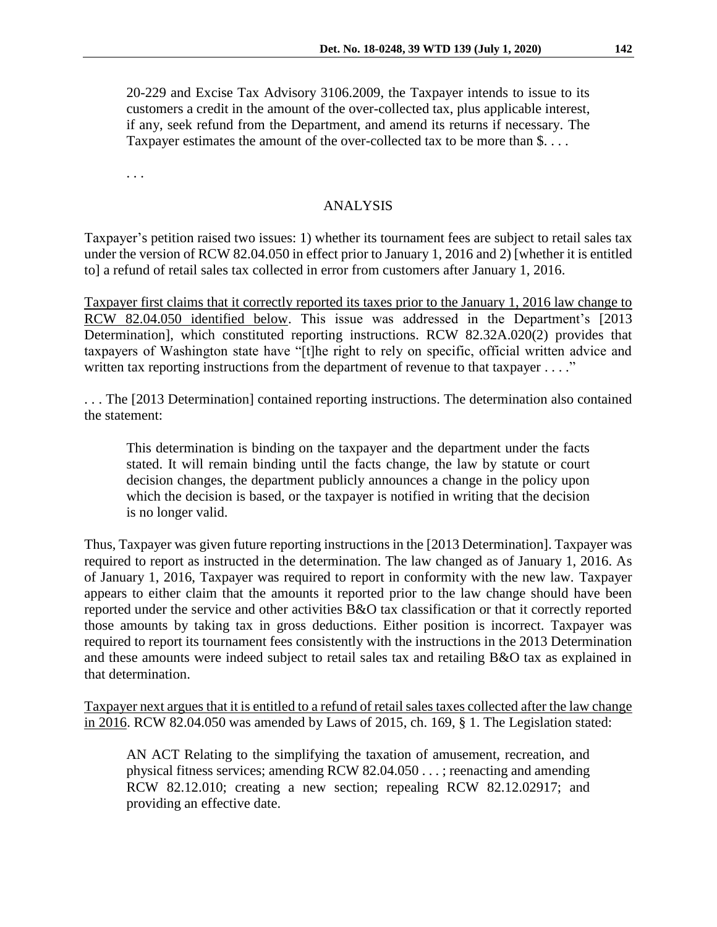20-229 and Excise Tax Advisory 3106.2009, the Taxpayer intends to issue to its customers a credit in the amount of the over-collected tax, plus applicable interest, if any, seek refund from the Department, and amend its returns if necessary. The Taxpayer estimates the amount of the over-collected tax to be more than \$....

. . .

## ANALYSIS

Taxpayer's petition raised two issues: 1) whether its tournament fees are subject to retail sales tax under the version of RCW 82.04.050 in effect prior to January 1, 2016 and 2) [whether it is entitled to] a refund of retail sales tax collected in error from customers after January 1, 2016.

Taxpayer first claims that it correctly reported its taxes prior to the January 1, 2016 law change to RCW 82.04.050 identified below. This issue was addressed in the Department's [2013] Determination], which constituted reporting instructions. RCW 82.32A.020(2) provides that taxpayers of Washington state have "[t]he right to rely on specific, official written advice and written tax reporting instructions from the department of revenue to that taxpayer . . . ."

. . . The [2013 Determination] contained reporting instructions. The determination also contained the statement:

This determination is binding on the taxpayer and the department under the facts stated. It will remain binding until the facts change, the law by statute or court decision changes, the department publicly announces a change in the policy upon which the decision is based, or the taxpayer is notified in writing that the decision is no longer valid.

Thus, Taxpayer was given future reporting instructions in the [2013 Determination]. Taxpayer was required to report as instructed in the determination. The law changed as of January 1, 2016. As of January 1, 2016, Taxpayer was required to report in conformity with the new law. Taxpayer appears to either claim that the amounts it reported prior to the law change should have been reported under the service and other activities B&O tax classification or that it correctly reported those amounts by taking tax in gross deductions. Either position is incorrect. Taxpayer was required to report its tournament fees consistently with the instructions in the 2013 Determination and these amounts were indeed subject to retail sales tax and retailing B&O tax as explained in that determination.

Taxpayer next argues that it is entitled to a refund of retail sales taxes collected after the law change in 2016. RCW 82.04.050 was amended by Laws of 2015, ch. 169, § 1. The Legislation stated:

AN ACT Relating to the simplifying the taxation of amusement, recreation, and physical fitness services; amending RCW 82.04.050 . . . ; reenacting and amending RCW 82.12.010; creating a new section; repealing RCW 82.12.02917; and providing an effective date.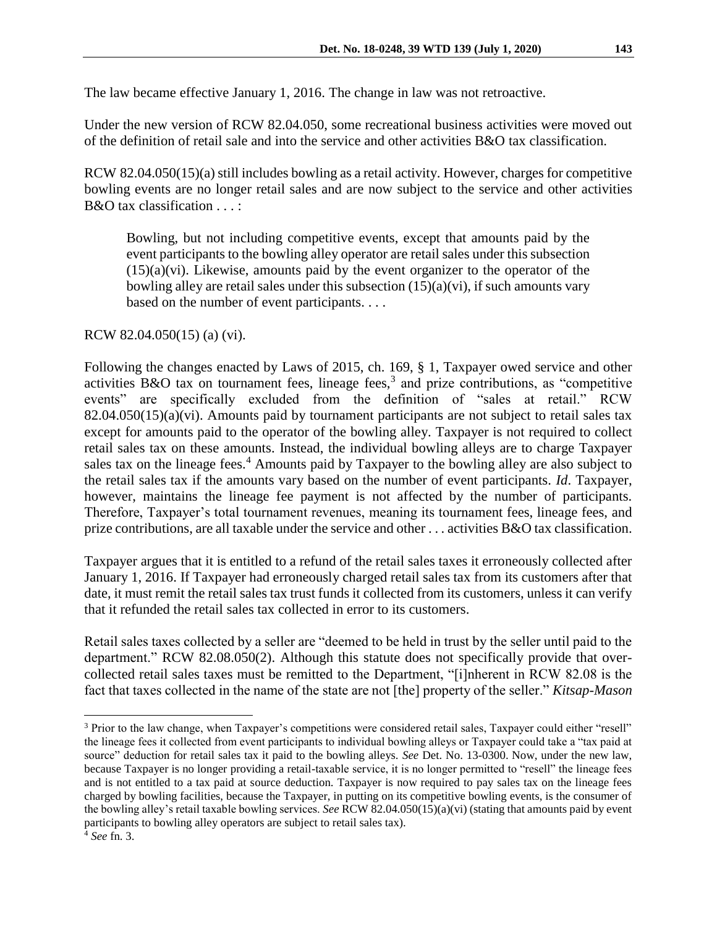The law became effective January 1, 2016. The change in law was not retroactive.

Under the new version of RCW 82.04.050, some recreational business activities were moved out of the definition of retail sale and into the service and other activities B&O tax classification.

RCW 82.04.050(15)(a) still includes bowling as a retail activity. However, charges for competitive bowling events are no longer retail sales and are now subject to the service and other activities B&O tax classification . . . :

Bowling, but not including competitive events, except that amounts paid by the event participants to the bowling alley operator are retail sales under this subsection  $(15)(a)(vi)$ . Likewise, amounts paid by the event organizer to the operator of the bowling alley are retail sales under this subsection  $(15)(a)(vi)$ , if such amounts vary based on the number of event participants. . . .

RCW 82.04.050(15) (a) (vi).

Following the changes enacted by Laws of 2015, ch. 169, § 1, Taxpayer owed service and other activities B&O tax on tournament fees, lineage fees,<sup>3</sup> and prize contributions, as "competitive events" are specifically excluded from the definition of "sales at retail." RCW  $82.04.050(15)(a)(vi)$ . Amounts paid by tournament participants are not subject to retail sales tax except for amounts paid to the operator of the bowling alley. Taxpayer is not required to collect retail sales tax on these amounts. Instead, the individual bowling alleys are to charge Taxpayer sales tax on the lineage fees.<sup>4</sup> Amounts paid by Taxpayer to the bowling alley are also subject to the retail sales tax if the amounts vary based on the number of event participants. *Id*. Taxpayer, however, maintains the lineage fee payment is not affected by the number of participants. Therefore, Taxpayer's total tournament revenues, meaning its tournament fees, lineage fees, and prize contributions, are all taxable under the service and other . . . activities B&O tax classification.

Taxpayer argues that it is entitled to a refund of the retail sales taxes it erroneously collected after January 1, 2016. If Taxpayer had erroneously charged retail sales tax from its customers after that date, it must remit the retail sales tax trust funds it collected from its customers, unless it can verify that it refunded the retail sales tax collected in error to its customers.

Retail sales taxes collected by a seller are "deemed to be held in trust by the seller until paid to the department." RCW 82.08.050(2). Although this statute does not specifically provide that overcollected retail sales taxes must be remitted to the Department, "[i]nherent in RCW 82.08 is the fact that taxes collected in the name of the state are not [the] property of the seller." *Kitsap-Mason* 

 $\overline{a}$ 

<sup>3</sup> Prior to the law change, when Taxpayer's competitions were considered retail sales, Taxpayer could either "resell" the lineage fees it collected from event participants to individual bowling alleys or Taxpayer could take a "tax paid at source" deduction for retail sales tax it paid to the bowling alleys. *See* Det. No. 13-0300. Now, under the new law, because Taxpayer is no longer providing a retail-taxable service, it is no longer permitted to "resell" the lineage fees and is not entitled to a tax paid at source deduction. Taxpayer is now required to pay sales tax on the lineage fees charged by bowling facilities, because the Taxpayer, in putting on its competitive bowling events, is the consumer of the bowling alley's retail taxable bowling services. *See* RCW 82.04.050(15)(a)(vi) (stating that amounts paid by event participants to bowling alley operators are subject to retail sales tax).

<sup>4</sup> *See* fn. 3.